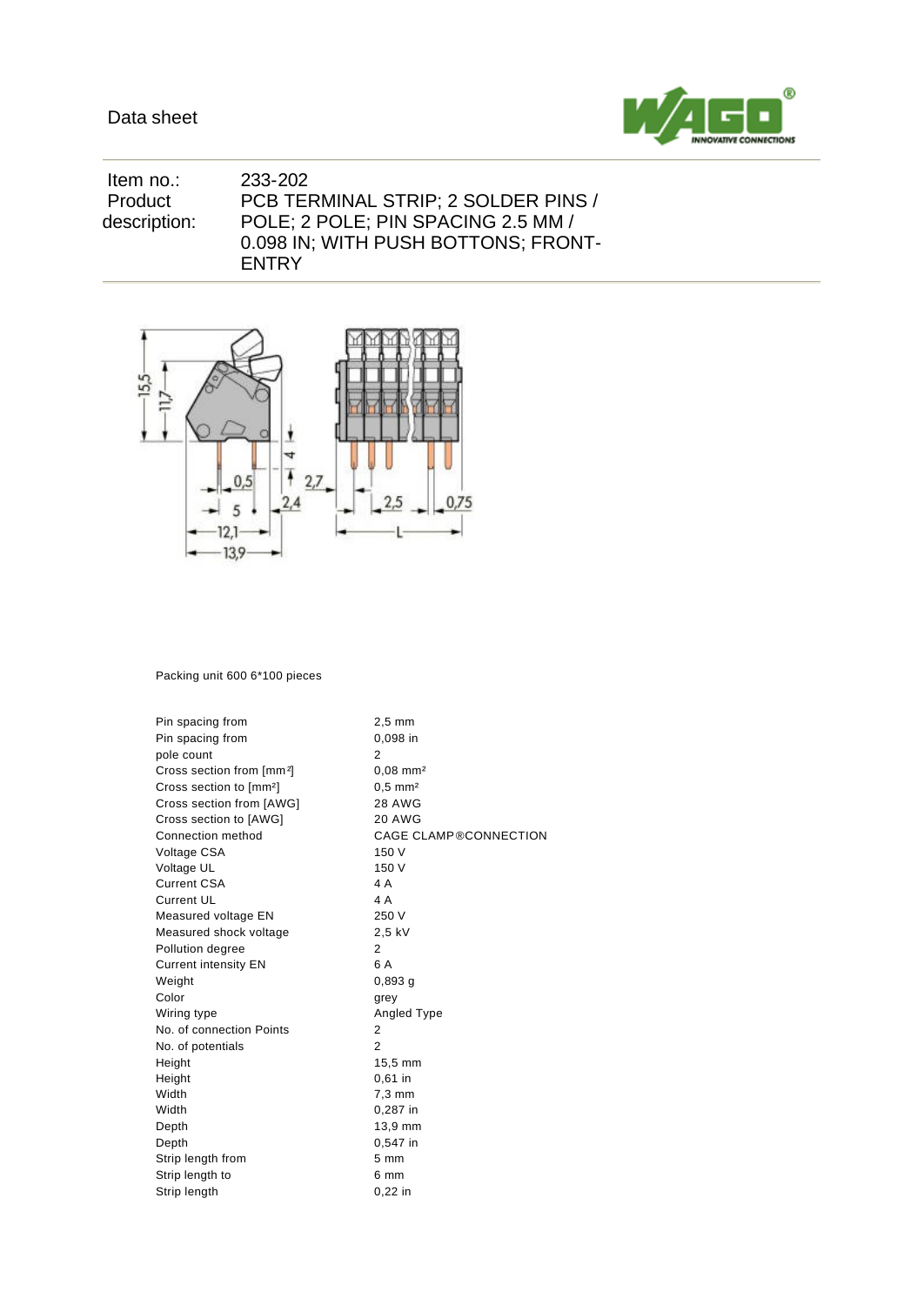

 Item no.: 233-202 Product description: PCB TERMINAL STRIP; 2 SOLDER PINS / POLE; 2 POLE; PIN SPACING 2.5 MM / 0.098 IN; WITH PUSH BOTTONS; FRONT-ENTRY



Packing unit 600 6\*100 pieces

Pin spacing from 2,5 mm Pin spacing from 0,098 in pole count 2 Cross section from [mm²] 0,08 mm² Cross section to [mm<sup>2</sup>] 0,5 mm<sup>2</sup> Cross section from [AWG] 28 AWG Cross section to [AWG] 20 AWG Connection method CAGE CLAMP®CONNECTION Voltage CSA 150 V Voltage UL 150 V Current CSA 4 A Current UL 4 A Measured voltage EN 250 V Measured shock voltage 2,5 kV Pollution degree 2 Current intensity EN 6A Weight 0,893 g Color grey Wiring type **Angled Type** Angled Type No. of connection Points 2 No. of potentials 2 Height 15,5 mm Height 0,61 in<br>Width 7,3 mm 7,3 mm Width 0,287 in Depth 13,9 mm Depth 0,547 in Strip length from 5 mm Strip length to 6 mm Strip length 0,22 in